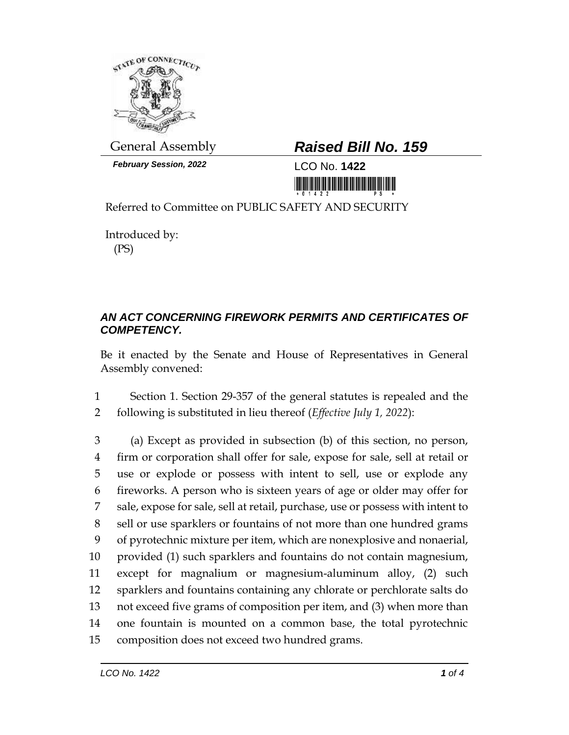

*February Session, 2022* LCO No. **1422**

## General Assembly *Raised Bill No. 159*

<u> 1999 - An Dùbhlachd Marwrig Marwr a 1999 - An Dùbhlachd Marwr a 1999 - An Dùbhlachd Marwr a 1999 - An Dùbhlach</u>

Referred to Committee on PUBLIC SAFETY AND SECURITY

Introduced by: (PS)

## *AN ACT CONCERNING FIREWORK PERMITS AND CERTIFICATES OF COMPETENCY.*

Be it enacted by the Senate and House of Representatives in General Assembly convened:

1 Section 1. Section 29-357 of the general statutes is repealed and the 2 following is substituted in lieu thereof (*Effective July 1, 2022*):

 (a) Except as provided in subsection (b) of this section, no person, firm or corporation shall offer for sale, expose for sale, sell at retail or use or explode or possess with intent to sell, use or explode any fireworks. A person who is sixteen years of age or older may offer for sale, expose for sale, sell at retail, purchase, use or possess with intent to sell or use sparklers or fountains of not more than one hundred grams of pyrotechnic mixture per item, which are nonexplosive and nonaerial, provided (1) such sparklers and fountains do not contain magnesium, except for magnalium or magnesium-aluminum alloy, (2) such sparklers and fountains containing any chlorate or perchlorate salts do not exceed five grams of composition per item, and (3) when more than one fountain is mounted on a common base, the total pyrotechnic composition does not exceed two hundred grams.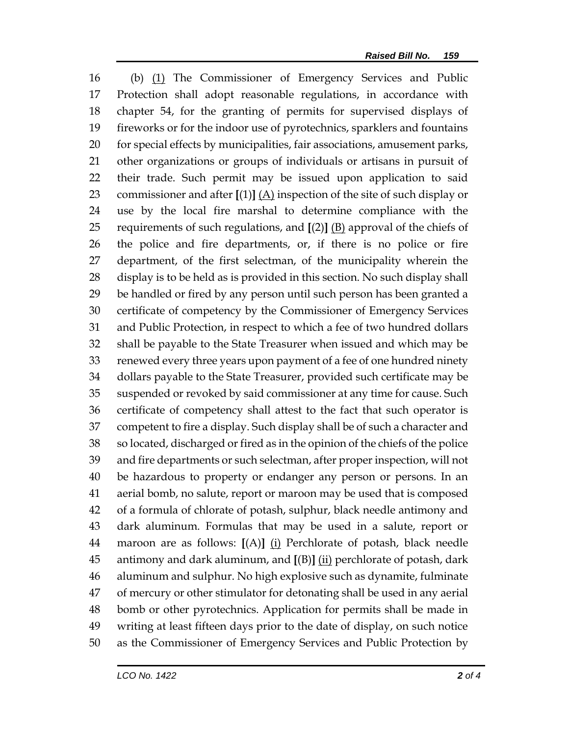(b) (1) The Commissioner of Emergency Services and Public Protection shall adopt reasonable regulations, in accordance with chapter 54, for the granting of permits for supervised displays of fireworks or for the indoor use of pyrotechnics, sparklers and fountains for special effects by municipalities, fair associations, amusement parks, other organizations or groups of individuals or artisans in pursuit of their trade. Such permit may be issued upon application to said 23 commissioner and after  $[(1)]$   $(A)$  inspection of the site of such display or use by the local fire marshal to determine compliance with the requirements of such regulations, and **[**(2)**]** (B) approval of the chiefs of the police and fire departments, or, if there is no police or fire department, of the first selectman, of the municipality wherein the display is to be held as is provided in this section. No such display shall be handled or fired by any person until such person has been granted a certificate of competency by the Commissioner of Emergency Services and Public Protection, in respect to which a fee of two hundred dollars shall be payable to the State Treasurer when issued and which may be renewed every three years upon payment of a fee of one hundred ninety dollars payable to the State Treasurer, provided such certificate may be suspended or revoked by said commissioner at any time for cause. Such certificate of competency shall attest to the fact that such operator is competent to fire a display. Such display shall be of such a character and so located, discharged or fired as in the opinion of the chiefs of the police and fire departments or such selectman, after proper inspection, will not be hazardous to property or endanger any person or persons. In an aerial bomb, no salute, report or maroon may be used that is composed of a formula of chlorate of potash, sulphur, black needle antimony and dark aluminum. Formulas that may be used in a salute, report or maroon are as follows: **[**(A)**]** (i) Perchlorate of potash, black needle antimony and dark aluminum, and **[**(B)**]** (ii) perchlorate of potash, dark aluminum and sulphur. No high explosive such as dynamite, fulminate of mercury or other stimulator for detonating shall be used in any aerial bomb or other pyrotechnics. Application for permits shall be made in writing at least fifteen days prior to the date of display, on such notice as the Commissioner of Emergency Services and Public Protection by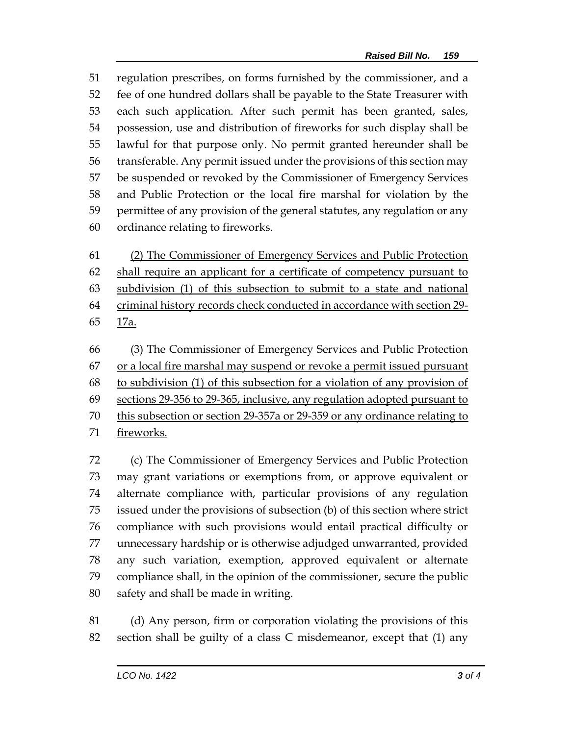regulation prescribes, on forms furnished by the commissioner, and a fee of one hundred dollars shall be payable to the State Treasurer with each such application. After such permit has been granted, sales, possession, use and distribution of fireworks for such display shall be lawful for that purpose only. No permit granted hereunder shall be transferable. Any permit issued under the provisions of this section may be suspended or revoked by the Commissioner of Emergency Services and Public Protection or the local fire marshal for violation by the permittee of any provision of the general statutes, any regulation or any ordinance relating to fireworks.

 (2) The Commissioner of Emergency Services and Public Protection 62 shall require an applicant for a certificate of competency pursuant to subdivision (1) of this subsection to submit to a state and national criminal history records check conducted in accordance with section 29- 17a.

 (3) The Commissioner of Emergency Services and Public Protection or a local fire marshal may suspend or revoke a permit issued pursuant to subdivision (1) of this subsection for a violation of any provision of sections 29-356 to 29-365, inclusive, any regulation adopted pursuant to this subsection or section 29-357a or 29-359 or any ordinance relating to fireworks.

 (c) The Commissioner of Emergency Services and Public Protection may grant variations or exemptions from, or approve equivalent or alternate compliance with, particular provisions of any regulation issued under the provisions of subsection (b) of this section where strict compliance with such provisions would entail practical difficulty or unnecessary hardship or is otherwise adjudged unwarranted, provided any such variation, exemption, approved equivalent or alternate compliance shall, in the opinion of the commissioner, secure the public safety and shall be made in writing.

 (d) Any person, firm or corporation violating the provisions of this section shall be guilty of a class C misdemeanor, except that (1) any